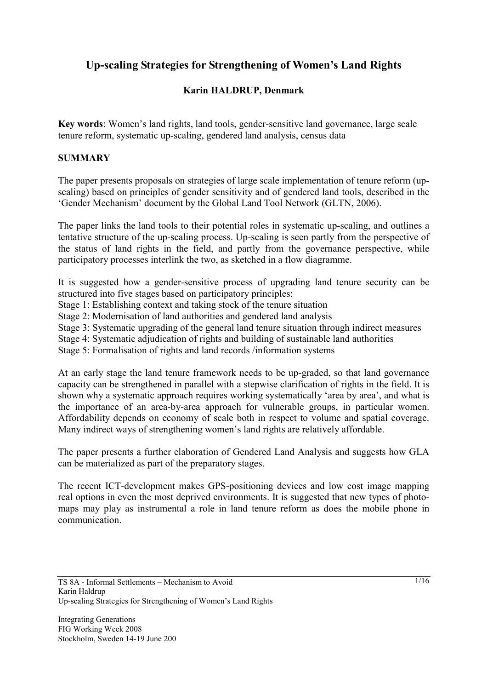# **Up-scaling Strategies for Strengthening of Women's Land Rights**

# **Karin HALDRUP, Denmark**

**Key words**: Women's land rights, land tools, gender-sensitive land governance, large scale tenure reform, systematic up-scaling, gendered land analysis, census data

# **SUMMARY**

The paper presents proposals on strategies of large scale implementation of tenure reform (upscaling) based on principles of gender sensitivity and of gendered land tools, described in the 'Gender Mechanism' document by the Global Land Tool Network (GLTN, 2006).

The paper links the land tools to their potential roles in systematic up-scaling, and outlines a tentative structure of the up-scaling process. Up-scaling is seen partly from the perspective of the status of land rights in the field, and partly from the governance perspective, while participatory processes interlink the two, as sketched in a flow diagramme.

It is suggested how a gender-sensitive process of upgrading land tenure security can be structured into five stages based on participatory principles:

Stage 1: Establishing context and taking stock of the tenure situation

Stage 2: Modernisation of land authorities and gendered land analysis

Stage 3: Systematic upgrading of the general land tenure situation through indirect measures

Stage 4: Systematic adjudication of rights and building of sustainable land authorities

Stage 5: Formalisation of rights and land records /information systems

At an early stage the land tenure framework needs to be up-graded, so that land governance capacity can be strengthened in parallel with a stepwise clarification of rights in the field. It is shown why a systematic approach requires working systematically 'area by area', and what is the importance of an area-by-area approach for vulnerable groups, in particular women. Affordability depends on economy of scale both in respect to volume and spatial coverage. Many indirect ways of strengthening women's land rights are relatively affordable.

The paper presents a further elaboration of Gendered Land Analysis and suggests how GLA can be materialized as part of the preparatory stages.

The recent ICT-development makes GPS-positioning devices and low cost image mapping real options in even the most deprived environments. It is suggested that new types of photomaps may play as instrumental a role in land tenure reform as does the mobile phone in communication.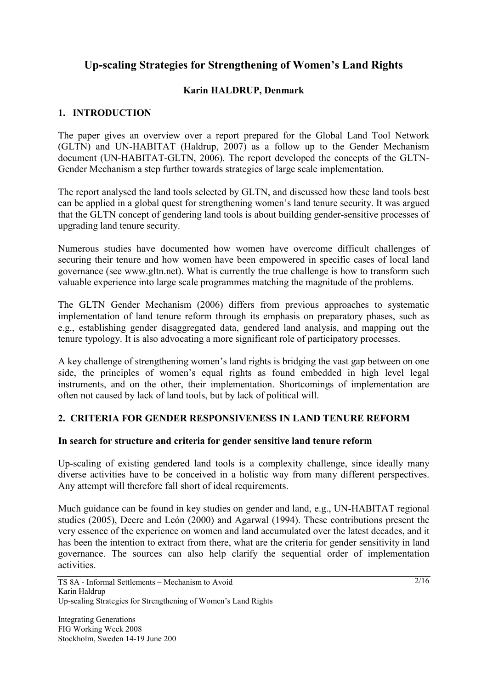# **Up-scaling Strategies for Strengthening of Women's Land Rights**

# **Karin HALDRUP, Denmark**

# **1. INTRODUCTION**

The paper gives an overview over a report prepared for the Global Land Tool Network (GLTN) and UN-HABITAT (Haldrup, 2007) as a follow up to the Gender Mechanism document (UN-HABITAT-GLTN, 2006). The report developed the concepts of the GLTN-Gender Mechanism a step further towards strategies of large scale implementation.

The report analysed the land tools selected by GLTN, and discussed how these land tools best can be applied in a global quest for strengthening women's land tenure security. It was argued that the GLTN concept of gendering land tools is about building gender-sensitive processes of upgrading land tenure security.

Numerous studies have documented how women have overcome difficult challenges of securing their tenure and how women have been empowered in specific cases of local land governance (see www.gltn.net). What is currently the true challenge is how to transform such valuable experience into large scale programmes matching the magnitude of the problems.

The GLTN Gender Mechanism (2006) differs from previous approaches to systematic implementation of land tenure reform through its emphasis on preparatory phases, such as e.g., establishing gender disaggregated data, gendered land analysis, and mapping out the tenure typology. It is also advocating a more significant role of participatory processes.

A key challenge of strengthening women's land rights is bridging the vast gap between on one side, the principles of women's equal rights as found embedded in high level legal instruments, and on the other, their implementation. Shortcomings of implementation are often not caused by lack of land tools, but by lack of political will.

# **2. CRITERIA FOR GENDER RESPONSIVENESS IN LAND TENURE REFORM**

# **In search for structure and criteria for gender sensitive land tenure reform**

Up-scaling of existing gendered land tools is a complexity challenge, since ideally many diverse activities have to be conceived in a holistic way from many different perspectives. Any attempt will therefore fall short of ideal requirements.

Much guidance can be found in key studies on gender and land, e.g., UN-HABITAT regional studies (2005), Deere and León (2000) and Agarwal (1994). These contributions present the very essence of the experience on women and land accumulated over the latest decades, and it has been the intention to extract from there, what are the criteria for gender sensitivity in land governance. The sources can also help clarify the sequential order of implementation activities.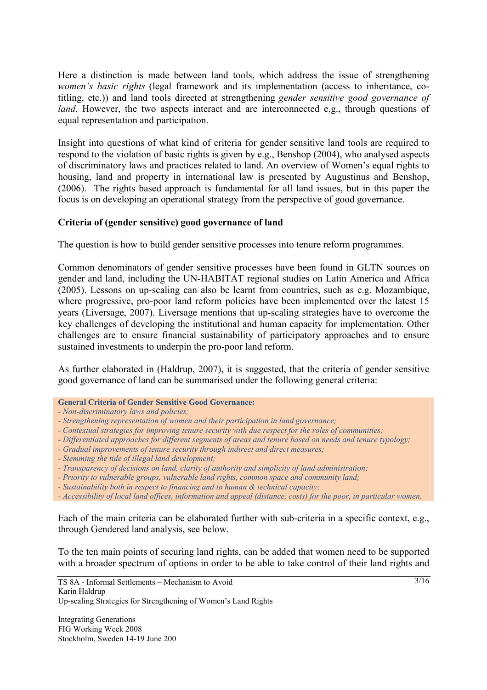Here a distinction is made between land tools, which address the issue of strengthening *women's basic rights* (legal framework and its implementation (access to inheritance, cotitling, etc.)) and land tools directed at strengthening *gender sensitive good governance of land*. However, the two aspects interact and are interconnected e.g., through questions of equal representation and participation.

Insight into questions of what kind of criteria for gender sensitive land tools are required to respond to the violation of basic rights is given by e.g., Benshop (2004), who analysed aspects of discriminatory laws and practices related to land. An overview of Women's equal rights to housing, land and property in international law is presented by Augustinus and Benshop, (2006). The rights based approach is fundamental for all land issues, but in this paper the focus is on developing an operational strategy from the perspective of good governance.

# **Criteria of (gender sensitive) good governance of land**

The question is how to build gender sensitive processes into tenure reform programmes.

Common denominators of gender sensitive processes have been found in GLTN sources on gender and land, including the UN-HABITAT regional studies on Latin America and Africa (2005). Lessons on up-scaling can also be learnt from countries, such as e.g. Mozambique, where progressive, pro-poor land reform policies have been implemented over the latest 15 years (Liversage, 2007). Liversage mentions that up-scaling strategies have to overcome the key challenges of developing the institutional and human capacity for implementation. Other challenges are to ensure financial sustainability of participatory approaches and to ensure sustained investments to underpin the pro-poor land reform.

As further elaborated in (Haldrup, 2007), it is suggested, that the criteria of gender sensitive good governance of land can be summarised under the following general criteria:

- *Non-discriminatory laws and policies;*
- *Strengthening representation of women and their participation in land governance;*
- *Contextual strategies for improving tenure security with due respect for the roles of communities;*
- *Differentiated approaches for different segments of areas and tenure based on needs and tenure typology;*
- *Gradual improvements of tenure security through indirect and direct measures;*
- *Stemming the tide of illegal land development;*
- *Transparency of decisions on land, clarity of authority and simplicity of land administration;*
- *Priority to vulnerable groups, vulnerable land rights, common space and community land;*
- *Sustainability both in respect to financing and to human & technical capacity;*

Each of the main criteria can be elaborated further with sub-criteria in a specific context, e.g., through Gendered land analysis, see below.

To the ten main points of securing land rights, can be added that women need to be supported with a broader spectrum of options in order to be able to take control of their land rights and

**General Criteria of Gender Sensitive Good Governance:** 

*<sup>-</sup> Accessibility of local land offices, information and appeal (distance, costs) for the poor, in particular women.*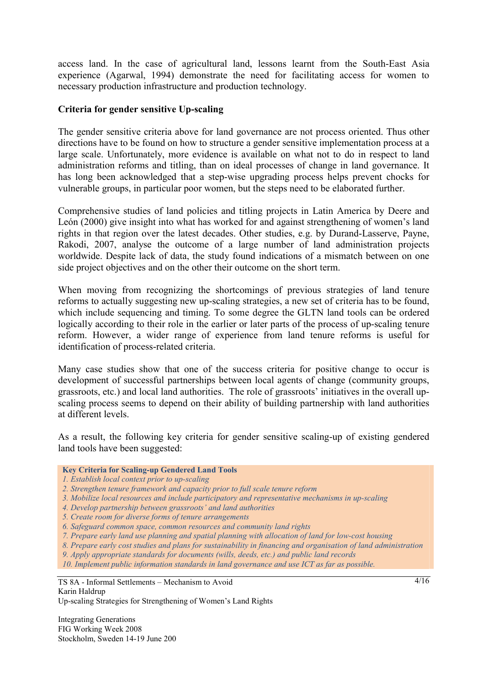access land. In the case of agricultural land, lessons learnt from the South-East Asia experience (Agarwal, 1994) demonstrate the need for facilitating access for women to necessary production infrastructure and production technology.

#### **Criteria for gender sensitive Up-scaling**

The gender sensitive criteria above for land governance are not process oriented. Thus other directions have to be found on how to structure a gender sensitive implementation process at a large scale. Unfortunately, more evidence is available on what not to do in respect to land administration reforms and titling, than on ideal processes of change in land governance. It has long been acknowledged that a step-wise upgrading process helps prevent chocks for vulnerable groups, in particular poor women, but the steps need to be elaborated further.

Comprehensive studies of land policies and titling projects in Latin America by Deere and León (2000) give insight into what has worked for and against strengthening of women's land rights in that region over the latest decades. Other studies, e.g. by Durand-Lasserve, Payne, Rakodi, 2007, analyse the outcome of a large number of land administration projects worldwide. Despite lack of data, the study found indications of a mismatch between on one side project objectives and on the other their outcome on the short term.

When moving from recognizing the shortcomings of previous strategies of land tenure reforms to actually suggesting new up-scaling strategies, a new set of criteria has to be found, which include sequencing and timing. To some degree the GLTN land tools can be ordered logically according to their role in the earlier or later parts of the process of up-scaling tenure reform. However, a wider range of experience from land tenure reforms is useful for identification of process-related criteria.

Many case studies show that one of the success criteria for positive change to occur is development of successful partnerships between local agents of change (community groups, grassroots, etc.) and local land authorities. The role of grassroots' initiatives in the overall upscaling process seems to depend on their ability of building partnership with land authorities at different levels.

As a result, the following key criteria for gender sensitive scaling-up of existing gendered land tools have been suggested:

#### **Key Criteria for Scaling-up Gendered Land Tools**

- *1. Establish local context prior to up-scaling*
- *2. Strengthen tenure framework and capacity prior to full scale tenure reform*
- *3. Mobilize local resources and include participatory and representative mechanisms in up-scaling*
- *4. Develop partnership between grassroots' and land authorities*
- *5. Create room for diverse forms of tenure arrangements*
- *6. Safeguard common space, common resources and community land rights*
- *7. Prepare early land use planning and spatial planning with allocation of land for low-cost housing*
- *8. Prepare early cost studies and plans for sustainability in financing and organisation of land administration*
- *9. Apply appropriate standards for documents (wills, deeds, etc.) and public land records*

*10. Implement public information standards in land governance and use ICT as far as possible.* 

TS 8A - Informal Settlements – Mechanism to Avoid Karin Haldrup Up-scaling Strategies for Strengthening of Women's Land Rights

Integrating Generations FIG Working Week 2008 Stockholm, Sweden 14-19 June 200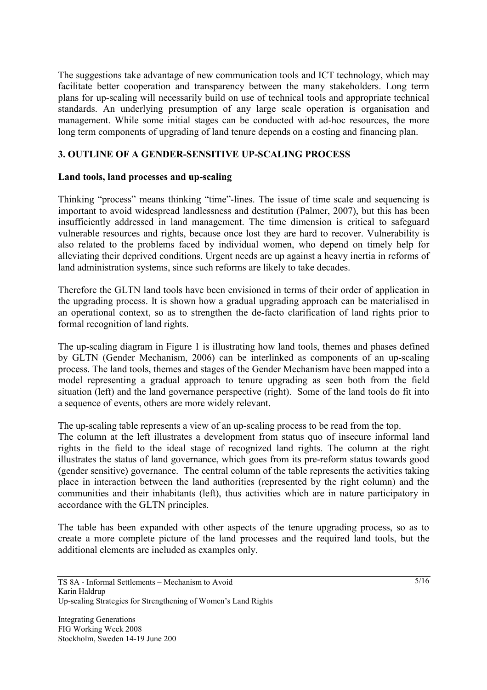The suggestions take advantage of new communication tools and ICT technology, which may facilitate better cooperation and transparency between the many stakeholders. Long term plans for up-scaling will necessarily build on use of technical tools and appropriate technical standards. An underlying presumption of any large scale operation is organisation and management. While some initial stages can be conducted with ad-hoc resources, the more long term components of upgrading of land tenure depends on a costing and financing plan.

# **3. OUTLINE OF A GENDER-SENSITIVE UP-SCALING PROCESS**

#### **Land tools, land processes and up-scaling**

Thinking "process" means thinking "time"-lines. The issue of time scale and sequencing is important to avoid widespread landlessness and destitution (Palmer, 2007), but this has been insufficiently addressed in land management. The time dimension is critical to safeguard vulnerable resources and rights, because once lost they are hard to recover. Vulnerability is also related to the problems faced by individual women, who depend on timely help for alleviating their deprived conditions. Urgent needs are up against a heavy inertia in reforms of land administration systems, since such reforms are likely to take decades.

Therefore the GLTN land tools have been envisioned in terms of their order of application in the upgrading process. It is shown how a gradual upgrading approach can be materialised in an operational context, so as to strengthen the de-facto clarification of land rights prior to formal recognition of land rights.

The up-scaling diagram in Figure 1 is illustrating how land tools, themes and phases defined by GLTN (Gender Mechanism, 2006) can be interlinked as components of an up-scaling process. The land tools, themes and stages of the Gender Mechanism have been mapped into a model representing a gradual approach to tenure upgrading as seen both from the field situation (left) and the land governance perspective (right). Some of the land tools do fit into a sequence of events, others are more widely relevant.

The up-scaling table represents a view of an up-scaling process to be read from the top.

The column at the left illustrates a development from status quo of insecure informal land rights in the field to the ideal stage of recognized land rights. The column at the right illustrates the status of land governance, which goes from its pre-reform status towards good (gender sensitive) governance. The central column of the table represents the activities taking place in interaction between the land authorities (represented by the right column) and the communities and their inhabitants (left), thus activities which are in nature participatory in accordance with the GLTN principles.

The table has been expanded with other aspects of the tenure upgrading process, so as to create a more complete picture of the land processes and the required land tools, but the additional elements are included as examples only.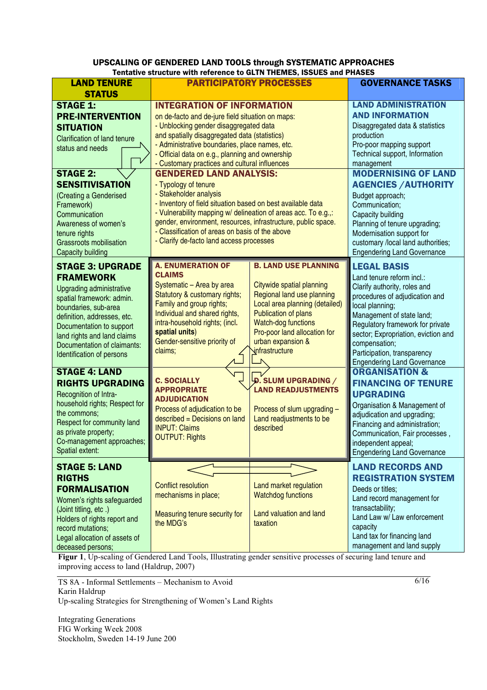#### UPSCALING OF GENDERED LAND TOOLS through SYSTEMATIC APPROACHES Tentative structure with reference to GLTN THEMES, ISSUES and PHASES

| <b>LAND TENURE</b>                                                                                                                                                                                                                                                                                                                               | Telligate structure with reference to GLTN THEMES, ISSUES and PHASES<br><b>PARTICIPATORY PROCESSES</b>                                                                                                                                                                                                                                                                                                                                                                                                                                                                                                                                                                                                                      |                                                                                                                                                                                                                                                | <b>GOVERNANCE TASKS</b>                                                                                                                                                                                                                                                                                                                                                                                                                             |
|--------------------------------------------------------------------------------------------------------------------------------------------------------------------------------------------------------------------------------------------------------------------------------------------------------------------------------------------------|-----------------------------------------------------------------------------------------------------------------------------------------------------------------------------------------------------------------------------------------------------------------------------------------------------------------------------------------------------------------------------------------------------------------------------------------------------------------------------------------------------------------------------------------------------------------------------------------------------------------------------------------------------------------------------------------------------------------------------|------------------------------------------------------------------------------------------------------------------------------------------------------------------------------------------------------------------------------------------------|-----------------------------------------------------------------------------------------------------------------------------------------------------------------------------------------------------------------------------------------------------------------------------------------------------------------------------------------------------------------------------------------------------------------------------------------------------|
| <b>STATUS</b><br><b>STAGE 1:</b><br><b>PRE-INTERVENTION</b><br><b>SITUATION</b><br><b>Clarification of land tenure</b><br>status and needs<br><b>STAGE 2:</b><br><b>SENSITIVISATION</b><br>(Creating a Genderised<br>Framework)<br>Communication<br>Awareness of women's<br>tenure rights<br><b>Grassroots mobilisation</b><br>Capacity building | <b>INTEGRATION OF INFORMATION</b><br>on de-facto and de-jure field situation on maps:<br>- Unblocking gender disaggregated data<br>and spatially disaggregated data (statistics)<br>- Administrative boundaries, place names, etc.<br>- Official data on e.g., planning and ownership<br>- Customary practices and cultural influences<br><b>GENDERED LAND ANALYSIS:</b><br>- Typology of tenure<br>- Stakeholder analysis<br>- Inventory of field situation based on best available data<br>- Vulnerability mapping w/ delineation of areas acc. To e.g.,:<br>gender, environment, resources, infrastructure, public space.<br>- Classification of areas on basis of the above<br>- Clarify de-facto land access processes |                                                                                                                                                                                                                                                | <b>LAND ADMINISTRATION</b><br><b>AND INFORMATION</b><br>Disaggregated data & statistics<br>production<br>Pro-poor mapping support<br>Technical support, Information<br>management<br><b>MODERNISING OF LAND</b><br><b>AGENCIES / AUTHORITY</b><br>Budget approach;<br>Communication;<br>Capacity building<br>Planning of tenure upgrading;<br>Modernisation support for<br>customary /local land authorities;<br><b>Engendering Land Governance</b> |
| <b>STAGE 3: UPGRADE</b><br><b>FRAMEWORK</b><br>Upgrading administrative<br>spatial framework: admin.<br>boundaries, sub-area<br>definition, addresses, etc.<br>Documentation to support<br>land rights and land claims<br>Documentation of claimants:<br>Identification of persons                                                               | <b>A. ENUMERATION OF</b><br><b>CLAIMS</b><br>Systematic - Area by area<br>Statutory & customary rights;<br>Family and group rights;<br>Individual and shared rights,<br>intra-household rights; (incl.<br>spatial units)<br>Gender-sensitive priority of<br>claims;                                                                                                                                                                                                                                                                                                                                                                                                                                                         | <b>B. LAND USE PLANNING</b><br>Citywide spatial planning<br>Regional land use planning<br>Local area planning (detailed)<br>Publication of plans<br>Watch-dog functions<br>Pro-poor land allocation for<br>urban expansion &<br>infrastructure | <b>LEGAL BASIS</b><br>Land tenure reform incl.:<br>Clarify authority, roles and<br>procedures of adjudication and<br>local planning;<br>Management of state land;<br>Regulatory framework for private<br>sector; Expropriation, eviction and<br>compensation;<br>Participation, transparency<br><b>Engendering Land Governance</b>                                                                                                                  |
| <b>STAGE 4: LAND</b><br><b>RIGHTS UPGRADING</b><br>Recognition of Intra-<br>household rights; Respect for<br>the commons;<br>Respect for community land<br>as private property;<br>Co-management approaches;<br>Spatial extent:                                                                                                                  | <b>C. SOCIALLY</b><br><b>APPROPRIATE</b><br><b>ADJUDICATION</b><br>Process of adjudication to be<br>described = Decisions on land<br><b>INPUT: Claims</b><br><b>OUTPUT: Rights</b>                                                                                                                                                                                                                                                                                                                                                                                                                                                                                                                                          | D. SLUM UPGRADING /<br><b>LAND READJUSTMENTS</b><br>Process of slum upgrading -<br>Land readjustments to be<br>described                                                                                                                       | <b>ORGANISATION &amp;</b><br><b>FINANCING OF TENURE</b><br><b>UPGRADING</b><br>Organisation & Management of<br>adjudication and upgrading;<br>Financing and administration;<br>Communication, Fair processes,<br>independent appeal;<br><b>Engendering Land Governance</b>                                                                                                                                                                          |
| <b>STAGE 5: LAND</b><br><b>RIGTHS</b><br><b>FORMALISATION</b><br>Women's rights safeguarded<br>(Joint titling, etc.)<br>Holders of rights report and<br>record mutations;<br>Legal allocation of assets of<br>deceased persons;                                                                                                                  | <b>Conflict resolution</b><br>mechanisms in place;<br>Measuring tenure security for<br>the MDG's                                                                                                                                                                                                                                                                                                                                                                                                                                                                                                                                                                                                                            | Land market regulation<br><b>Watchdog functions</b><br>Land valuation and land<br>taxation                                                                                                                                                     | <b>LAND RECORDS AND</b><br><b>REGISTRATION SYSTEM</b><br>Deeds or titles;<br>Land record management for<br>transactability;<br>Land Law w/ Law enforcement<br>capacity<br>Land tax for financing land<br>management and land supply                                                                                                                                                                                                                 |

**Figur 1**, Up-scaling of Gendered Land Tools, Illustrating gender sensitive processes of securing land tenure and improving access to land (Haldrup, 2007)

TS 8A - Informal Settlements – Mechanism to Avoid Karin Haldrup Up-scaling Strategies for Strengthening of Women's Land Rights

Integrating Generations FIG Working Week 2008 Stockholm, Sweden 14-19 June 200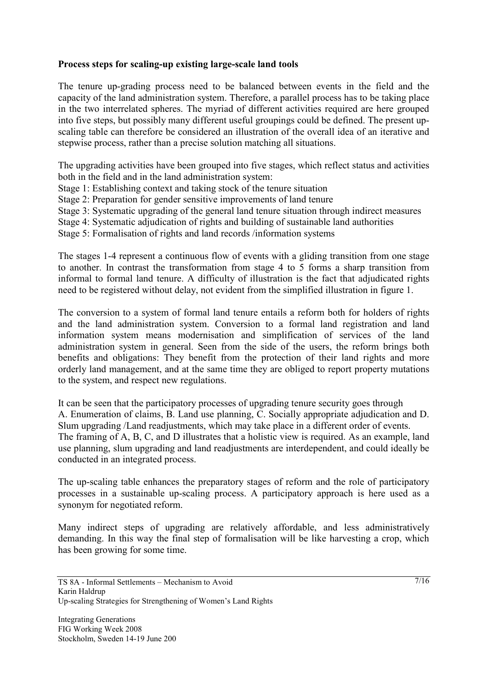# **Process steps for scaling-up existing large-scale land tools**

The tenure up-grading process need to be balanced between events in the field and the capacity of the land administration system. Therefore, a parallel process has to be taking place in the two interrelated spheres. The myriad of different activities required are here grouped into five steps, but possibly many different useful groupings could be defined. The present upscaling table can therefore be considered an illustration of the overall idea of an iterative and stepwise process, rather than a precise solution matching all situations.

The upgrading activities have been grouped into five stages, which reflect status and activities both in the field and in the land administration system:

Stage 1: Establishing context and taking stock of the tenure situation

Stage 2: Preparation for gender sensitive improvements of land tenure

Stage 3: Systematic upgrading of the general land tenure situation through indirect measures

Stage 4: Systematic adjudication of rights and building of sustainable land authorities

Stage 5: Formalisation of rights and land records /information systems

The stages 1-4 represent a continuous flow of events with a gliding transition from one stage to another. In contrast the transformation from stage 4 to 5 forms a sharp transition from informal to formal land tenure. A difficulty of illustration is the fact that adjudicated rights need to be registered without delay, not evident from the simplified illustration in figure 1.

The conversion to a system of formal land tenure entails a reform both for holders of rights and the land administration system. Conversion to a formal land registration and land information system means modernisation and simplification of services of the land administration system in general. Seen from the side of the users, the reform brings both benefits and obligations: They benefit from the protection of their land rights and more orderly land management, and at the same time they are obliged to report property mutations to the system, and respect new regulations.

It can be seen that the participatory processes of upgrading tenure security goes through A. Enumeration of claims, B. Land use planning, C. Socially appropriate adjudication and D. Slum upgrading /Land readjustments, which may take place in a different order of events. The framing of A, B, C, and D illustrates that a holistic view is required. As an example, land use planning, slum upgrading and land readjustments are interdependent, and could ideally be conducted in an integrated process.

The up-scaling table enhances the preparatory stages of reform and the role of participatory processes in a sustainable up-scaling process. A participatory approach is here used as a synonym for negotiated reform.

Many indirect steps of upgrading are relatively affordable, and less administratively demanding. In this way the final step of formalisation will be like harvesting a crop, which has been growing for some time.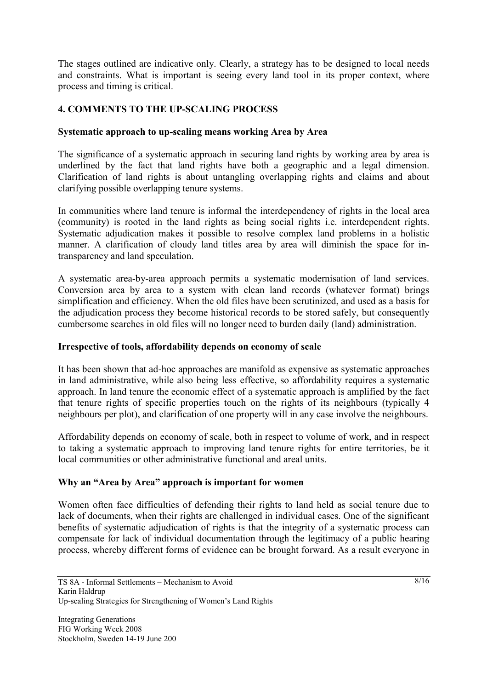The stages outlined are indicative only. Clearly, a strategy has to be designed to local needs and constraints. What is important is seeing every land tool in its proper context, where process and timing is critical.

# **4. COMMENTS TO THE UP-SCALING PROCESS**

#### **Systematic approach to up-scaling means working Area by Area**

The significance of a systematic approach in securing land rights by working area by area is underlined by the fact that land rights have both a geographic and a legal dimension. Clarification of land rights is about untangling overlapping rights and claims and about clarifying possible overlapping tenure systems.

In communities where land tenure is informal the interdependency of rights in the local area (community) is rooted in the land rights as being social rights i.e. interdependent rights. Systematic adjudication makes it possible to resolve complex land problems in a holistic manner. A clarification of cloudy land titles area by area will diminish the space for intransparency and land speculation.

A systematic area-by-area approach permits a systematic modernisation of land services. Conversion area by area to a system with clean land records (whatever format) brings simplification and efficiency. When the old files have been scrutinized, and used as a basis for the adjudication process they become historical records to be stored safely, but consequently cumbersome searches in old files will no longer need to burden daily (land) administration.

#### **Irrespective of tools, affordability depends on economy of scale**

It has been shown that ad-hoc approaches are manifold as expensive as systematic approaches in land administrative, while also being less effective, so affordability requires a systematic approach. In land tenure the economic effect of a systematic approach is amplified by the fact that tenure rights of specific properties touch on the rights of its neighbours (typically 4 neighbours per plot), and clarification of one property will in any case involve the neighbours.

Affordability depends on economy of scale, both in respect to volume of work, and in respect to taking a systematic approach to improving land tenure rights for entire territories, be it local communities or other administrative functional and areal units.

# **Why an "Area by Area" approach is important for women**

Women often face difficulties of defending their rights to land held as social tenure due to lack of documents, when their rights are challenged in individual cases. One of the significant benefits of systematic adjudication of rights is that the integrity of a systematic process can compensate for lack of individual documentation through the legitimacy of a public hearing process, whereby different forms of evidence can be brought forward. As a result everyone in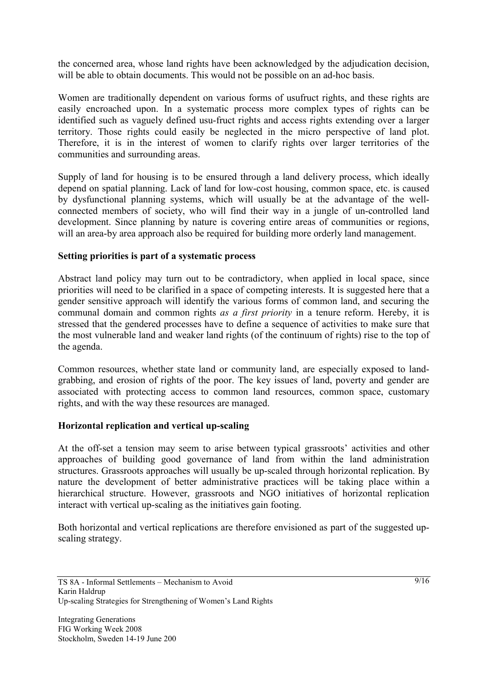the concerned area, whose land rights have been acknowledged by the adjudication decision, will be able to obtain documents. This would not be possible on an ad-hoc basis.

Women are traditionally dependent on various forms of usufruct rights, and these rights are easily encroached upon. In a systematic process more complex types of rights can be identified such as vaguely defined usu-fruct rights and access rights extending over a larger territory. Those rights could easily be neglected in the micro perspective of land plot. Therefore, it is in the interest of women to clarify rights over larger territories of the communities and surrounding areas.

Supply of land for housing is to be ensured through a land delivery process, which ideally depend on spatial planning. Lack of land for low-cost housing, common space, etc. is caused by dysfunctional planning systems, which will usually be at the advantage of the wellconnected members of society, who will find their way in a jungle of un-controlled land development. Since planning by nature is covering entire areas of communities or regions, will an area-by area approach also be required for building more orderly land management.

# **Setting priorities is part of a systematic process**

Abstract land policy may turn out to be contradictory, when applied in local space, since priorities will need to be clarified in a space of competing interests. It is suggested here that a gender sensitive approach will identify the various forms of common land, and securing the communal domain and common rights *as a first priority* in a tenure reform. Hereby, it is stressed that the gendered processes have to define a sequence of activities to make sure that the most vulnerable land and weaker land rights (of the continuum of rights) rise to the top of the agenda.

Common resources, whether state land or community land, are especially exposed to landgrabbing, and erosion of rights of the poor. The key issues of land, poverty and gender are associated with protecting access to common land resources, common space, customary rights, and with the way these resources are managed.

#### **Horizontal replication and vertical up-scaling**

At the off-set a tension may seem to arise between typical grassroots' activities and other approaches of building good governance of land from within the land administration structures. Grassroots approaches will usually be up-scaled through horizontal replication. By nature the development of better administrative practices will be taking place within a hierarchical structure. However, grassroots and NGO initiatives of horizontal replication interact with vertical up-scaling as the initiatives gain footing.

Both horizontal and vertical replications are therefore envisioned as part of the suggested upscaling strategy.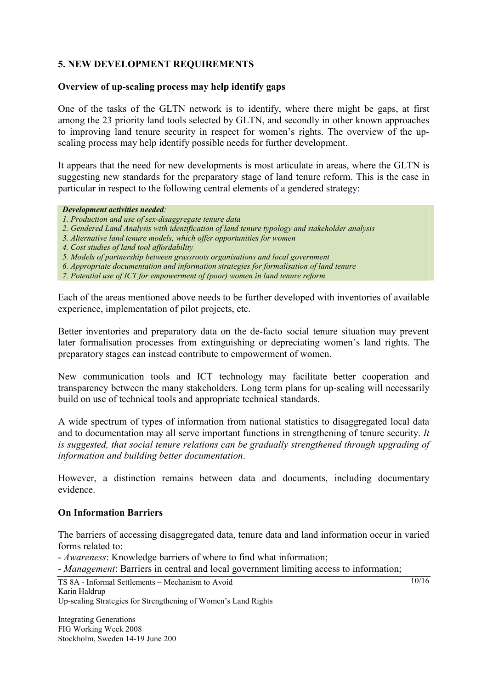# **5. NEW DEVELOPMENT REQUIREMENTS**

#### **Overview of up-scaling process may help identify gaps**

One of the tasks of the GLTN network is to identify, where there might be gaps, at first among the 23 priority land tools selected by GLTN, and secondly in other known approaches to improving land tenure security in respect for women's rights. The overview of the upscaling process may help identify possible needs for further development.

It appears that the need for new developments is most articulate in areas, where the GLTN is suggesting new standards for the preparatory stage of land tenure reform. This is the case in particular in respect to the following central elements of a gendered strategy:

#### *Development activities needed:*

- *1. Production and use of sex-disaggregate tenure data*
- *2. Gendered Land Analysis with identification of land tenure typology and stakeholder analysis*
- *3. Alternative land tenure models, which offer opportunities for women*
- *4. Cost studies of land tool affordability*
- *5. Models of partnership between grassroots organisations and local government*
- *6. Appropriate documentation and information strategies for formalisation of land tenure*
- *7. Potential use of ICT for empowerment of (poor) women in land tenure reform*

Each of the areas mentioned above needs to be further developed with inventories of available experience, implementation of pilot projects, etc.

Better inventories and preparatory data on the de-facto social tenure situation may prevent later formalisation processes from extinguishing or depreciating women's land rights. The preparatory stages can instead contribute to empowerment of women.

New communication tools and ICT technology may facilitate better cooperation and transparency between the many stakeholders. Long term plans for up-scaling will necessarily build on use of technical tools and appropriate technical standards.

A wide spectrum of types of information from national statistics to disaggregated local data and to documentation may all serve important functions in strengthening of tenure security. *It is suggested, that social tenure relations can be gradually strengthened through upgrading of information and building better documentation*.

However, a distinction remains between data and documents, including documentary evidence.

#### **On Information Barriers**

The barriers of accessing disaggregated data, tenure data and land information occur in varied forms related to:

- *Awareness*: Knowledge barriers of where to find what information;

- *Management*: Barriers in central and local government limiting access to information;

Integrating Generations FIG Working Week 2008 Stockholm, Sweden 14-19 June 200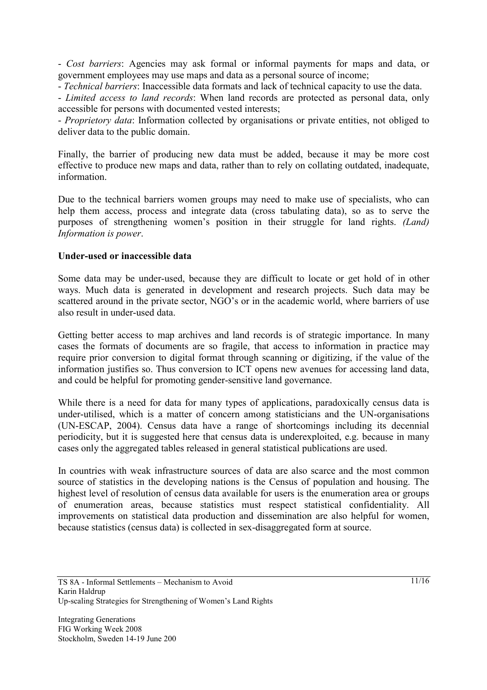- *Cost barriers*: Agencies may ask formal or informal payments for maps and data, or government employees may use maps and data as a personal source of income;

- *Technical barriers*: Inaccessible data formats and lack of technical capacity to use the data.

- *Limited access to land records*: When land records are protected as personal data, only accessible for persons with documented vested interests;

- *Proprietory data*: Information collected by organisations or private entities, not obliged to deliver data to the public domain.

Finally, the barrier of producing new data must be added, because it may be more cost effective to produce new maps and data, rather than to rely on collating outdated, inadequate, information.

Due to the technical barriers women groups may need to make use of specialists, who can help them access, process and integrate data (cross tabulating data), so as to serve the purposes of strengthening women's position in their struggle for land rights. *(Land) Information is power*.

# **Under-used or inaccessible data**

Some data may be under-used, because they are difficult to locate or get hold of in other ways. Much data is generated in development and research projects. Such data may be scattered around in the private sector, NGO's or in the academic world, where barriers of use also result in under-used data.

Getting better access to map archives and land records is of strategic importance. In many cases the formats of documents are so fragile, that access to information in practice may require prior conversion to digital format through scanning or digitizing, if the value of the information justifies so. Thus conversion to ICT opens new avenues for accessing land data, and could be helpful for promoting gender-sensitive land governance.

While there is a need for data for many types of applications, paradoxically census data is under-utilised, which is a matter of concern among statisticians and the UN-organisations (UN-ESCAP, 2004). Census data have a range of shortcomings including its decennial periodicity, but it is suggested here that census data is underexploited, e.g. because in many cases only the aggregated tables released in general statistical publications are used.

In countries with weak infrastructure sources of data are also scarce and the most common source of statistics in the developing nations is the Census of population and housing. The highest level of resolution of census data available for users is the enumeration area or groups of enumeration areas, because statistics must respect statistical confidentiality. All improvements on statistical data production and dissemination are also helpful for women, because statistics (census data) is collected in sex-disaggregated form at source.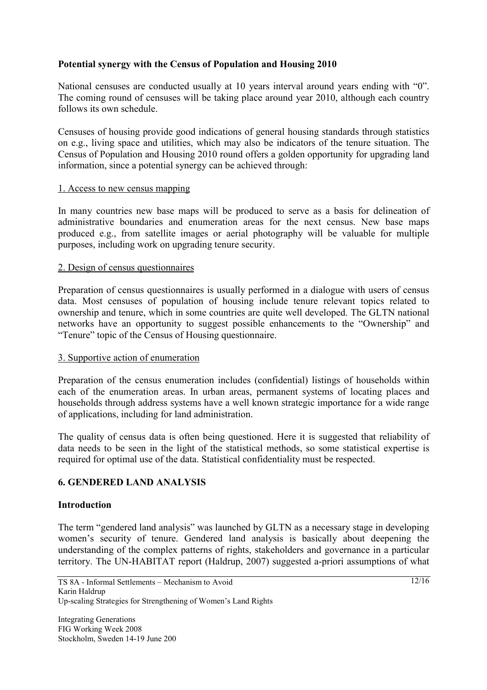# **Potential synergy with the Census of Population and Housing 2010**

National censuses are conducted usually at 10 years interval around years ending with "0". The coming round of censuses will be taking place around year 2010, although each country follows its own schedule.

Censuses of housing provide good indications of general housing standards through statistics on e.g., living space and utilities, which may also be indicators of the tenure situation. The Census of Population and Housing 2010 round offers a golden opportunity for upgrading land information, since a potential synergy can be achieved through:

#### 1. Access to new census mapping

In many countries new base maps will be produced to serve as a basis for delineation of administrative boundaries and enumeration areas for the next census. New base maps produced e.g., from satellite images or aerial photography will be valuable for multiple purposes, including work on upgrading tenure security.

#### 2. Design of census questionnaires

Preparation of census questionnaires is usually performed in a dialogue with users of census data. Most censuses of population of housing include tenure relevant topics related to ownership and tenure, which in some countries are quite well developed. The GLTN national networks have an opportunity to suggest possible enhancements to the "Ownership" and "Tenure" topic of the Census of Housing questionnaire.

# 3. Supportive action of enumeration

Preparation of the census enumeration includes (confidential) listings of households within each of the enumeration areas. In urban areas, permanent systems of locating places and households through address systems have a well known strategic importance for a wide range of applications, including for land administration.

The quality of census data is often being questioned. Here it is suggested that reliability of data needs to be seen in the light of the statistical methods, so some statistical expertise is required for optimal use of the data. Statistical confidentiality must be respected.

# **6. GENDERED LAND ANALYSIS**

#### **Introduction**

The term "gendered land analysis" was launched by GLTN as a necessary stage in developing women's security of tenure. Gendered land analysis is basically about deepening the understanding of the complex patterns of rights, stakeholders and governance in a particular territory. The UN-HABITAT report (Haldrup, 2007) suggested a-priori assumptions of what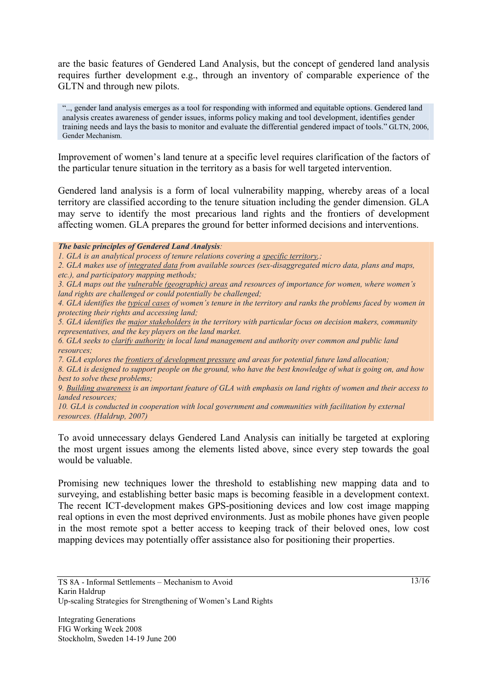are the basic features of Gendered Land Analysis, but the concept of gendered land analysis requires further development e.g., through an inventory of comparable experience of the GLTN and through new pilots.

".., gender land analysis emerges as a tool for responding with informed and equitable options. Gendered land analysis creates awareness of gender issues, informs policy making and tool development, identifies gender training needs and lays the basis to monitor and evaluate the differential gendered impact of tools." GLTN, 2006, Gender Mechanism.

Improvement of women's land tenure at a specific level requires clarification of the factors of the particular tenure situation in the territory as a basis for well targeted intervention.

Gendered land analysis is a form of local vulnerability mapping, whereby areas of a local territory are classified according to the tenure situation including the gender dimension. GLA may serve to identify the most precarious land rights and the frontiers of development affecting women. GLA prepares the ground for better informed decisions and interventions.

*The basic principles of Gendered Land Analysis:* 

*1. GLA is an analytical process of tenure relations covering a specific territory,;* 

*2. GLA makes use of integrated data from available sources (sex-disaggregated micro data, plans and maps, etc.), and participatory mapping methods;* 

*3. GLA maps out the vulnerable (geographic) areas and resources of importance for women, where women's land rights are challenged or could potentially be challenged;* 

*4. GLA identifies the typical cases of women's tenure in the territory and ranks the problems faced by women in protecting their rights and accessing land;* 

*5. GLA identifies the major stakeholders in the territory with particular focus on decision makers, community representatives, and the key players on the land market.* 

*6. GLA seeks to clarify authority in local land management and authority over common and public land resources;* 

*7. GLA explores the frontiers of development pressure and areas for potential future land allocation;* 

*8. GLA is designed to support people on the ground, who have the best knowledge of what is going on, and how best to solve these problems;* 

*9. Building awareness is an important feature of GLA with emphasis on land rights of women and their access to landed resources;* 

*10. GLA is conducted in cooperation with local government and communities with facilitation by external resources. (Haldrup, 2007)* 

To avoid unnecessary delays Gendered Land Analysis can initially be targeted at exploring the most urgent issues among the elements listed above, since every step towards the goal would be valuable.

Promising new techniques lower the threshold to establishing new mapping data and to surveying, and establishing better basic maps is becoming feasible in a development context. The recent ICT-development makes GPS-positioning devices and low cost image mapping real options in even the most deprived environments. Just as mobile phones have given people in the most remote spot a better access to keeping track of their beloved ones, low cost mapping devices may potentially offer assistance also for positioning their properties.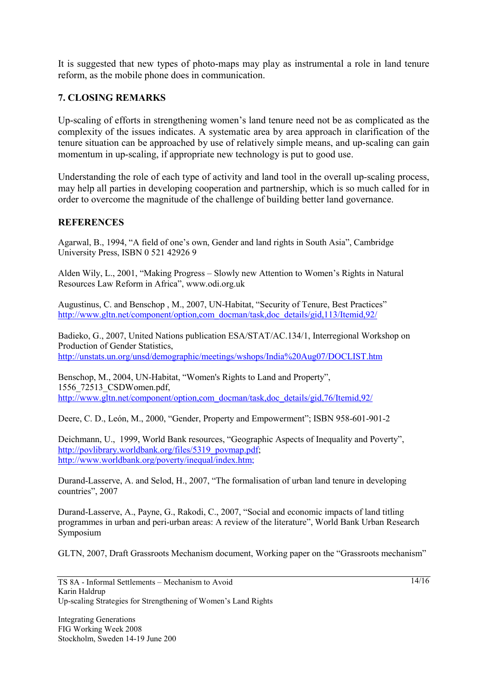It is suggested that new types of photo-maps may play as instrumental a role in land tenure reform, as the mobile phone does in communication.

# **7. CLOSING REMARKS**

Up-scaling of efforts in strengthening women's land tenure need not be as complicated as the complexity of the issues indicates. A systematic area by area approach in clarification of the tenure situation can be approached by use of relatively simple means, and up-scaling can gain momentum in up-scaling, if appropriate new technology is put to good use.

Understanding the role of each type of activity and land tool in the overall up-scaling process, may help all parties in developing cooperation and partnership, which is so much called for in order to overcome the magnitude of the challenge of building better land governance.

#### **REFERENCES**

Agarwal, B., 1994, "A field of one's own, Gender and land rights in South Asia", Cambridge University Press, ISBN 0 521 42926 9

Alden Wily, L., 2001, "Making Progress – Slowly new Attention to Women's Rights in Natural Resources Law Reform in Africa", www.odi.org.uk

Augustinus, C. and Benschop , M., 2007, UN-Habitat, "Security of Tenure, Best Practices" http://www.gltn.net/component/option,com\_docman/task,doc\_details/gid,113/Itemid,92/

Badieko, G., 2007, United Nations publication ESA/STAT/AC.134/1, Interregional Workshop on Production of Gender Statistics, http://unstats.un.org/unsd/demographic/meetings/wshops/India%20Aug07/DOCLIST.htm

Benschop, M., 2004, UN-Habitat, "Women's Rights to Land and Property", 1556\_72513\_CSDWomen.pdf, http://www.gltn.net/component/option.com\_docman/task,doc\_details/gid,76/Itemid,92/

Deere, C. D., León, M., 2000, "Gender, Property and Empowerment"; ISBN 958-601-901-2

Deichmann, U., 1999, World Bank resources, "Geographic Aspects of Inequality and Poverty", http://povlibrary.worldbank.org/files/5319\_povmap.pdf; http://www.worldbank.org/poverty/inequal/index.htm;

Durand-Lasserve, A. and Selod, H., 2007, "The formalisation of urban land tenure in developing countries", 2007

Durand-Lasserve, A., Payne, G., Rakodi, C., 2007, "Social and economic impacts of land titling programmes in urban and peri-urban areas: A review of the literature", World Bank Urban Research Symposium

GLTN, 2007, Draft Grassroots Mechanism document, Working paper on the "Grassroots mechanism"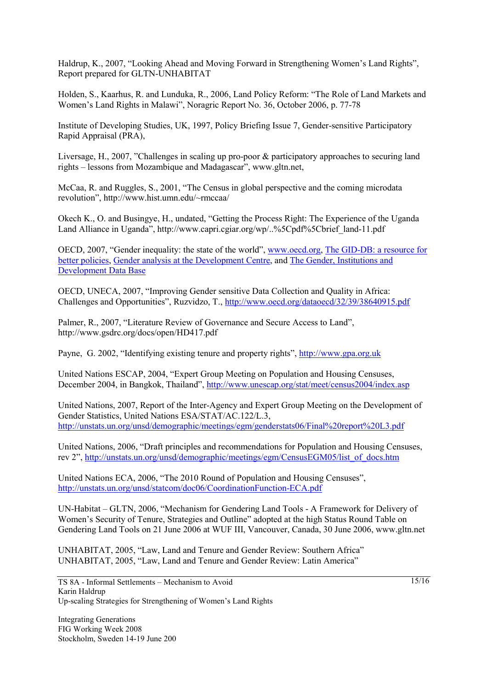Haldrup, K., 2007, "Looking Ahead and Moving Forward in Strengthening Women's Land Rights", Report prepared for GLTN-UNHABITAT

Holden, S., Kaarhus, R. and Lunduka, R., 2006, Land Policy Reform: "The Role of Land Markets and Women's Land Rights in Malawi", Noragric Report No. 36, October 2006, p. 77-78

Institute of Developing Studies, UK, 1997, Policy Briefing Issue 7, Gender-sensitive Participatory Rapid Appraisal (PRA),

Liversage, H., 2007, "Challenges in scaling up pro-poor & participatory approaches to securing land rights – lessons from Mozambique and Madagascar", www.gltn.net,

McCaa, R. and Ruggles, S., 2001, "The Census in global perspective and the coming microdata revolution", http://www.hist.umn.edu/~rmccaa/

Okech K., O. and Busingye, H., undated, "Getting the Process Right: The Experience of the Uganda Land Alliance in Uganda", http://www.capri.cgiar.org/wp/..%5Cpdf%5Cbrief\_land-11.pdf

OECD, 2007, "Gender inequality: the state of the world", www.oecd.org, The GID-DB: a resource for better policies, Gender analysis at the Development Centre, and The Gender, Institutions and Development Data Base

OECD, UNECA, 2007, "Improving Gender sensitive Data Collection and Quality in Africa: Challenges and Opportunities", Ruzvidzo, T., http://www.oecd.org/dataoecd/32/39/38640915.pdf

Palmer, R., 2007, "Literature Review of Governance and Secure Access to Land", http://www.gsdrc.org/docs/open/HD417.pdf

Payne, G. 2002, "Identifying existing tenure and property rights", http://www.gpa.org.uk

United Nations ESCAP, 2004, "Expert Group Meeting on Population and Housing Censuses, December 2004, in Bangkok, Thailand", http://www.unescap.org/stat/meet/census2004/index.asp

United Nations, 2007, Report of the Inter-Agency and Expert Group Meeting on the Development of Gender Statistics, United Nations ESA/STAT/AC.122/L.3, http://unstats.un.org/unsd/demographic/meetings/egm/genderstats06/Final%20report%20L3.pdf

United Nations, 2006, "Draft principles and recommendations for Population and Housing Censuses, rev 2", http://unstats.un.org/unsd/demographic/meetings/egm/CensusEGM05/list\_of\_docs.htm

United Nations ECA, 2006, "The 2010 Round of Population and Housing Censuses", http://unstats.un.org/unsd/statcom/doc06/CoordinationFunction-ECA.pdf

UN-Habitat – GLTN, 2006, "Mechanism for Gendering Land Tools - A Framework for Delivery of Women's Security of Tenure, Strategies and Outline" adopted at the high Status Round Table on Gendering Land Tools on 21 June 2006 at WUF III, Vancouver, Canada, 30 June 2006, www.gltn.net

UNHABITAT, 2005, "Law, Land and Tenure and Gender Review: Southern Africa" UNHABITAT, 2005, "Law, Land and Tenure and Gender Review: Latin America"